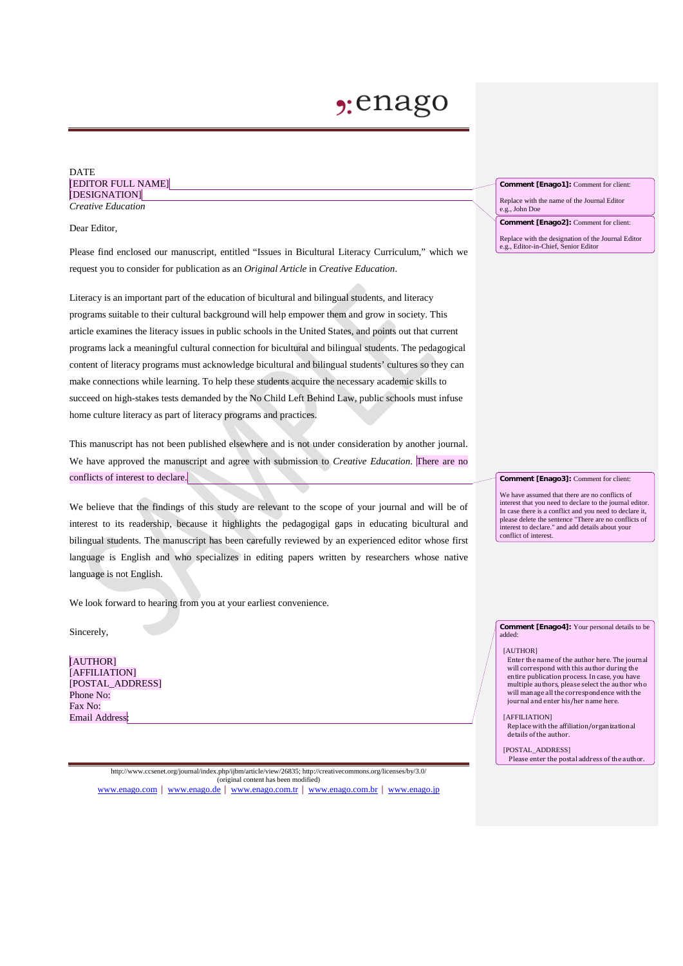# **2:**enago

### DATE [EDITOR FULL NAME] [DESIGNATION] *Creative Education*

Dear Editor,

Please find enclosed our manuscript, entitled "Issues in Bicultural Literacy Curriculum," which we request you to consider for publication as an *Original Article* in *Creative Education*.

Literacy is an important part of the education of bicultural and bilingual students, and literacy programs suitable to their cultural background will help empower them and grow in society. This article examines the literacy issues in public schools in the United States, and points out that current programs lack a meaningful cultural connection for bicultural and bilingual students. The pedagogical content of literacy programs must acknowledge bicultural and bilingual students' cultures so they can make connections while learning. To help these students acquire the necessary academic skills to succeed on high-stakes tests demanded by the No Child Left Behind Law, public schools must infuse home culture literacy as part of literacy programs and practices.

This manuscript has not been published elsewhere and is not under consideration by another journal. We have approved the manuscript and agree with submission to *Creative Education*. There are no conflicts of interest to declare.

We believe that the findings of this study are relevant to the scope of your journal and will be of interest to its readership, because it highlights the pedagogigal gaps in educating bicultural and bilingual students. The manuscript has been carefully reviewed by an experienced editor whose first language is English and who specializes in editing papers written by researchers whose native language is not English.

We look forward to hearing from you at your earliest convenience.

Sincerely,

[AUTHOR] [AFFILIATION] [POSTAL\_ADDRESS] Phone No: Fax No: Email Address:

**Comment [Enago1]:** Comment for client:

Replace with the name of the Journal Editor e.g., John Doe

**Comment [Enago2]:** Comment for client:

Replace with the designation of the Journal Editor e.g., Editor-in-Chief, Senior Editor

**Comment [Enago3]:** Comment for client:

We have assumed that there are no conflicts of interest that you need to declare to the journal editor. In case there is a conflict and you need to declare it, please delete the sentence "There are no conflicts of interest to declare." and add details about your conflict of interest.

**Comment [Enago4]:** Your personal details to be added:

#### [AUTHOR]

Enter the name of the author here. The journal will correspond with this author during the entire publication process. In case, you have multiple authors, please select the author who will manage all the correspondence with the journal and enter his/her name here.

[AFFILIATION]

Replace with the affiliation/organizational details of the author.

[POSTAL\_ADDRESS]

Please enter the postal address of the author.

http://www.ccsenet.org/journal/index.php/ijbm/article/view/26835; http://creativecommons.org/licenses/by/3.0/ (original content has been modified) [www.enago.com](http://www.enago.com/) | [www.enago.de](http://www.enago.de/) | [www.enago.com.tr](http://www.enago.com.tr/) | [www.enago.com.br](http://www.enago.com.br/) | [www.enago.jp](http://www.enago.jp/)